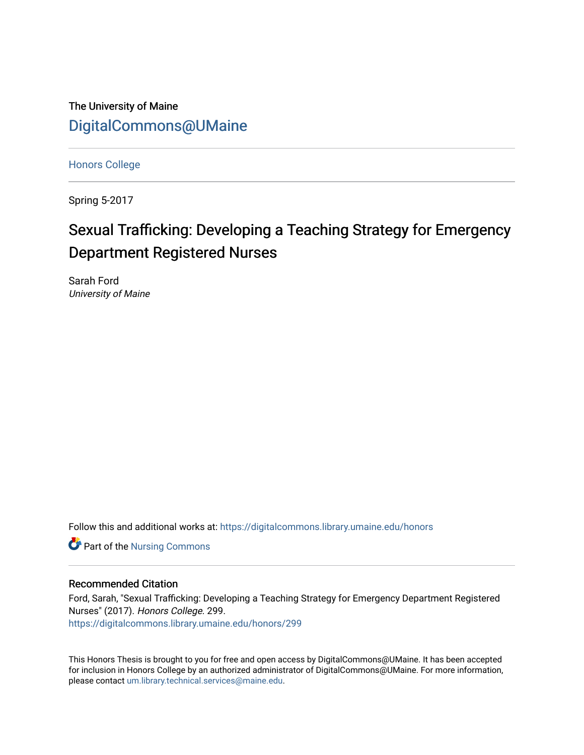The University of Maine [DigitalCommons@UMaine](https://digitalcommons.library.umaine.edu/)

[Honors College](https://digitalcommons.library.umaine.edu/honors)

Spring 5-2017

# Sexual Trafficking: Developing a Teaching Strategy for Emergency Department Registered Nurses

Sarah Ford University of Maine

Follow this and additional works at: [https://digitalcommons.library.umaine.edu/honors](https://digitalcommons.library.umaine.edu/honors?utm_source=digitalcommons.library.umaine.edu%2Fhonors%2F299&utm_medium=PDF&utm_campaign=PDFCoverPages) 

Part of the [Nursing Commons](http://network.bepress.com/hgg/discipline/718?utm_source=digitalcommons.library.umaine.edu%2Fhonors%2F299&utm_medium=PDF&utm_campaign=PDFCoverPages) 

### Recommended Citation

Ford, Sarah, "Sexual Trafficking: Developing a Teaching Strategy for Emergency Department Registered Nurses" (2017). Honors College. 299.

[https://digitalcommons.library.umaine.edu/honors/299](https://digitalcommons.library.umaine.edu/honors/299?utm_source=digitalcommons.library.umaine.edu%2Fhonors%2F299&utm_medium=PDF&utm_campaign=PDFCoverPages) 

This Honors Thesis is brought to you for free and open access by DigitalCommons@UMaine. It has been accepted for inclusion in Honors College by an authorized administrator of DigitalCommons@UMaine. For more information, please contact [um.library.technical.services@maine.edu.](mailto:um.library.technical.services@maine.edu)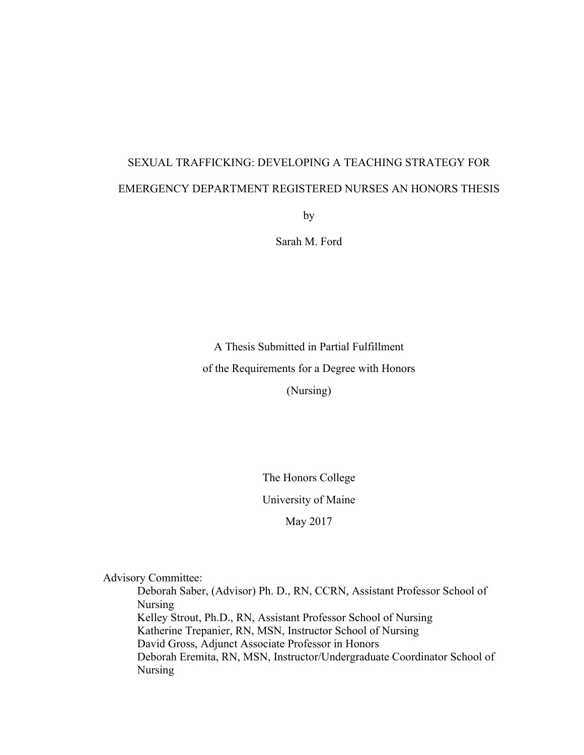# SEXUAL TRAFFICKING: DEVELOPING A TEACHING STRATEGY FOR EMERGENCY DEPARTMENT REGISTERED NURSES AN HONORS THESIS

by

Sarah M. Ford

A Thesis Submitted in Partial Fulfillment of the Requirements for a Degree with Honors (Nursing)

The Honors College

University of Maine

May 2017

Advisory Committee:

Deborah Saber, (Advisor) Ph. D., RN, CCRN, Assistant Professor School of Nursing Kelley Strout, Ph.D., RN, Assistant Professor School of Nursing Katherine Trepanier, RN, MSN, Instructor School of Nursing David Gross, Adjunct Associate Professor in Honors Deborah Eremita, RN, MSN, Instructor/Undergraduate Coordinator School of Nursing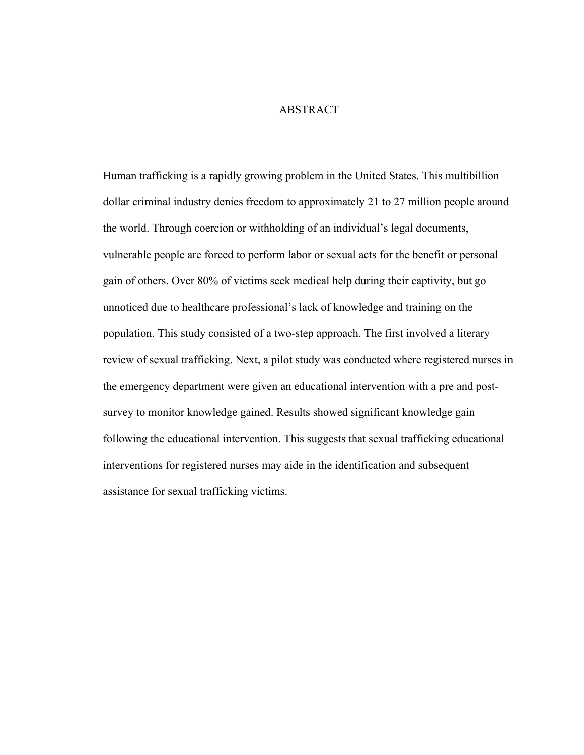### ABSTRACT

Human trafficking is a rapidly growing problem in the United States. This multibillion dollar criminal industry denies freedom to approximately 21 to 27 million people around the world. Through coercion or withholding of an individual's legal documents, vulnerable people are forced to perform labor or sexual acts for the benefit or personal gain of others. Over 80% of victims seek medical help during their captivity, but go unnoticed due to healthcare professional's lack of knowledge and training on the population. This study consisted of a two-step approach. The first involved a literary review of sexual trafficking. Next, a pilot study was conducted where registered nurses in the emergency department were given an educational intervention with a pre and postsurvey to monitor knowledge gained. Results showed significant knowledge gain following the educational intervention. This suggests that sexual trafficking educational interventions for registered nurses may aide in the identification and subsequent assistance for sexual trafficking victims.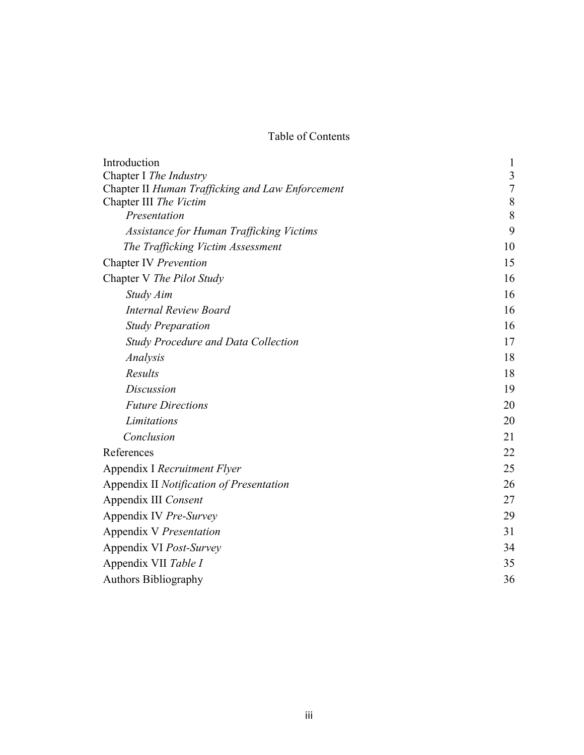# Table of Contents

| Introduction                                     | 1          |
|--------------------------------------------------|------------|
| Chapter I The Industry                           | 3          |
| Chapter II Human Trafficking and Law Enforcement | $\sqrt{ }$ |
| Chapter III The Victim                           | $\,8\,$    |
| Presentation                                     | 8          |
| Assistance for Human Trafficking Victims         | 9          |
| The Trafficking Victim Assessment                | 10         |
| Chapter IV Prevention                            | 15         |
| Chapter V The Pilot Study                        | 16         |
| Study Aim                                        | 16         |
| <b>Internal Review Board</b>                     | 16         |
| <b>Study Preparation</b>                         | 16         |
| <b>Study Procedure and Data Collection</b>       | 17         |
| Analysis                                         | 18         |
| Results                                          | 18         |
| <b>Discussion</b>                                | 19         |
| <b>Future Directions</b>                         | 20         |
| Limitations                                      | 20         |
| Conclusion                                       | 21         |
| References                                       | 22         |
| Appendix I Recruitment Flyer                     | 25         |
| Appendix II Notification of Presentation         | 26         |
| Appendix III Consent                             | 27         |
| Appendix IV Pre-Survey                           | 29         |
| Appendix V Presentation                          | 31         |
| Appendix VI Post-Survey                          | 34         |
| Appendix VII Table I                             | 35         |
| <b>Authors Bibliography</b>                      | 36         |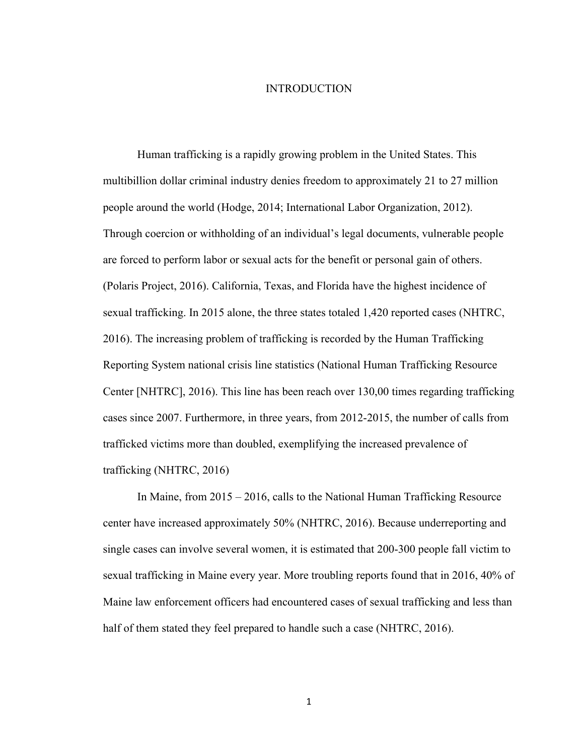### INTRODUCTION

Human trafficking is a rapidly growing problem in the United States. This multibillion dollar criminal industry denies freedom to approximately 21 to 27 million people around the world (Hodge, 2014; International Labor Organization, 2012). Through coercion or withholding of an individual's legal documents, vulnerable people are forced to perform labor or sexual acts for the benefit or personal gain of others. (Polaris Project, 2016). California, Texas, and Florida have the highest incidence of sexual trafficking. In 2015 alone, the three states totaled 1,420 reported cases (NHTRC, 2016). The increasing problem of trafficking is recorded by the Human Trafficking Reporting System national crisis line statistics (National Human Trafficking Resource Center [NHTRC], 2016). This line has been reach over 130,00 times regarding trafficking cases since 2007. Furthermore, in three years, from 2012-2015, the number of calls from trafficked victims more than doubled, exemplifying the increased prevalence of trafficking (NHTRC, 2016)

In Maine, from 2015 – 2016, calls to the National Human Trafficking Resource center have increased approximately 50% (NHTRC, 2016). Because underreporting and single cases can involve several women, it is estimated that 200-300 people fall victim to sexual trafficking in Maine every year. More troubling reports found that in 2016, 40% of Maine law enforcement officers had encountered cases of sexual trafficking and less than half of them stated they feel prepared to handle such a case (NHTRC, 2016).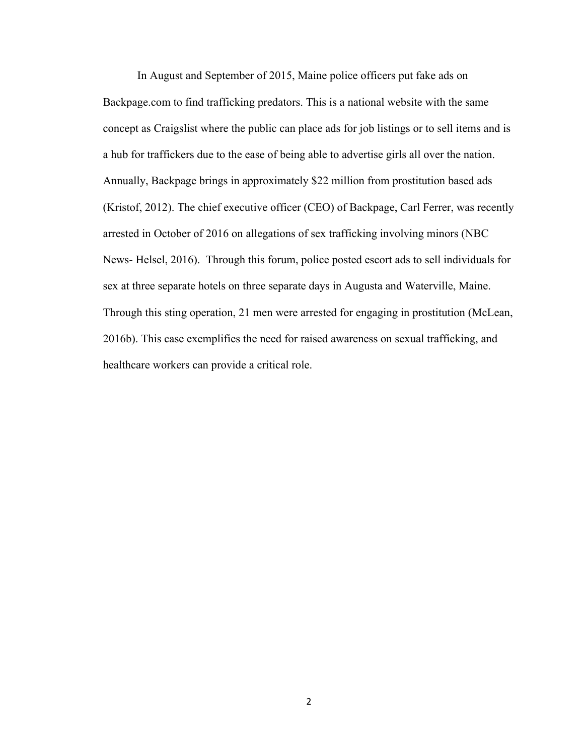In August and September of 2015, Maine police officers put fake ads on Backpage.com to find trafficking predators. This is a national website with the same concept as Craigslist where the public can place ads for job listings or to sell items and is a hub for traffickers due to the ease of being able to advertise girls all over the nation. Annually, Backpage brings in approximately \$22 million from prostitution based ads (Kristof, 2012). The chief executive officer (CEO) of Backpage, Carl Ferrer, was recently arrested in October of 2016 on allegations of sex trafficking involving minors (NBC News- Helsel, 2016). Through this forum, police posted escort ads to sell individuals for sex at three separate hotels on three separate days in Augusta and Waterville, Maine. Through this sting operation, 21 men were arrested for engaging in prostitution (McLean, 2016b). This case exemplifies the need for raised awareness on sexual trafficking, and healthcare workers can provide a critical role.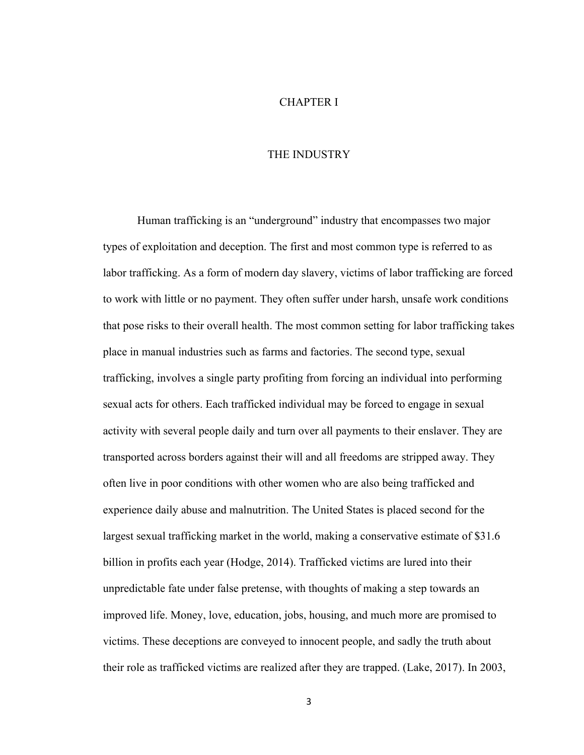### CHAPTER I

#### THE INDUSTRY

Human trafficking is an "underground" industry that encompasses two major types of exploitation and deception. The first and most common type is referred to as labor trafficking. As a form of modern day slavery, victims of labor trafficking are forced to work with little or no payment. They often suffer under harsh, unsafe work conditions that pose risks to their overall health. The most common setting for labor trafficking takes place in manual industries such as farms and factories. The second type, sexual trafficking, involves a single party profiting from forcing an individual into performing sexual acts for others. Each trafficked individual may be forced to engage in sexual activity with several people daily and turn over all payments to their enslaver. They are transported across borders against their will and all freedoms are stripped away. They often live in poor conditions with other women who are also being trafficked and experience daily abuse and malnutrition. The United States is placed second for the largest sexual trafficking market in the world, making a conservative estimate of \$31.6 billion in profits each year (Hodge, 2014). Trafficked victims are lured into their unpredictable fate under false pretense, with thoughts of making a step towards an improved life. Money, love, education, jobs, housing, and much more are promised to victims. These deceptions are conveyed to innocent people, and sadly the truth about their role as trafficked victims are realized after they are trapped. (Lake, 2017). In 2003,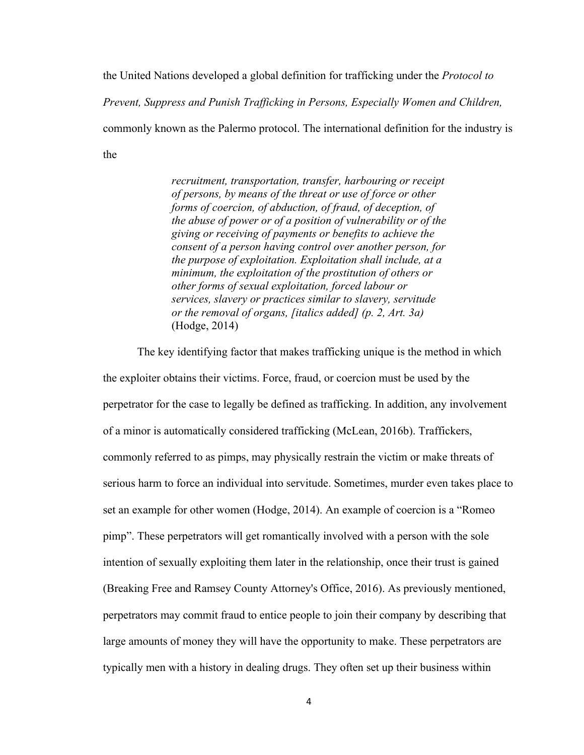the United Nations developed a global definition for trafficking under the *Protocol to* 

*Prevent, Suppress and Punish Trafficking in Persons, Especially Women and Children,* 

commonly known as the Palermo protocol. The international definition for the industry is

the

*recruitment, transportation, transfer, harbouring or receipt of persons, by means of the threat or use of force or other forms of coercion, of abduction, of fraud, of deception, of the abuse of power or of a position of vulnerability or of the giving or receiving of payments or benefits to achieve the consent of a person having control over another person, for the purpose of exploitation. Exploitation shall include, at a minimum, the exploitation of the prostitution of others or other forms of sexual exploitation, forced labour or services, slavery or practices similar to slavery, servitude or the removal of organs, [italics added] (p. 2, Art. 3a)* (Hodge, 2014)

The key identifying factor that makes trafficking unique is the method in which the exploiter obtains their victims. Force, fraud, or coercion must be used by the perpetrator for the case to legally be defined as trafficking. In addition, any involvement of a minor is automatically considered trafficking (McLean, 2016b). Traffickers, commonly referred to as pimps, may physically restrain the victim or make threats of serious harm to force an individual into servitude. Sometimes, murder even takes place to set an example for other women (Hodge, 2014). An example of coercion is a "Romeo pimp". These perpetrators will get romantically involved with a person with the sole intention of sexually exploiting them later in the relationship, once their trust is gained (Breaking Free and Ramsey County Attorney's Office, 2016). As previously mentioned, perpetrators may commit fraud to entice people to join their company by describing that large amounts of money they will have the opportunity to make. These perpetrators are typically men with a history in dealing drugs. They often set up their business within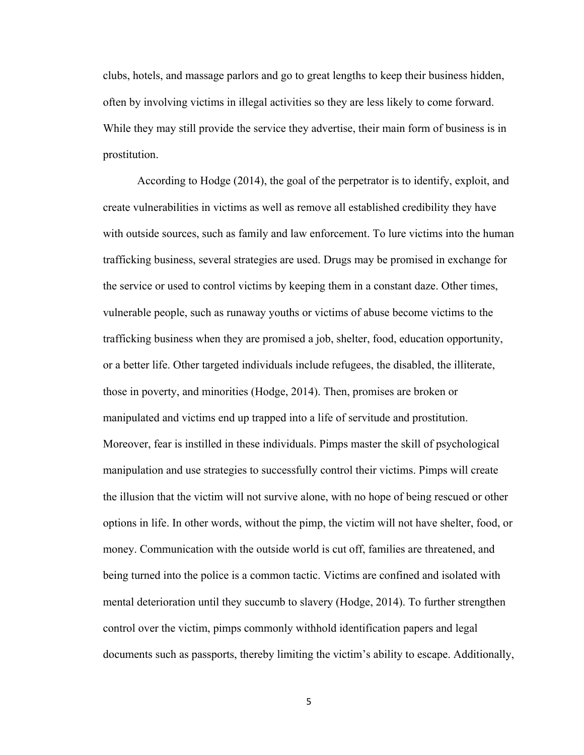clubs, hotels, and massage parlors and go to great lengths to keep their business hidden, often by involving victims in illegal activities so they are less likely to come forward. While they may still provide the service they advertise, their main form of business is in prostitution.

According to Hodge (2014), the goal of the perpetrator is to identify, exploit, and create vulnerabilities in victims as well as remove all established credibility they have with outside sources, such as family and law enforcement. To lure victims into the human trafficking business, several strategies are used. Drugs may be promised in exchange for the service or used to control victims by keeping them in a constant daze. Other times, vulnerable people, such as runaway youths or victims of abuse become victims to the trafficking business when they are promised a job, shelter, food, education opportunity, or a better life. Other targeted individuals include refugees, the disabled, the illiterate, those in poverty, and minorities (Hodge, 2014). Then, promises are broken or manipulated and victims end up trapped into a life of servitude and prostitution. Moreover, fear is instilled in these individuals. Pimps master the skill of psychological manipulation and use strategies to successfully control their victims. Pimps will create the illusion that the victim will not survive alone, with no hope of being rescued or other options in life. In other words, without the pimp, the victim will not have shelter, food, or money. Communication with the outside world is cut off, families are threatened, and being turned into the police is a common tactic. Victims are confined and isolated with mental deterioration until they succumb to slavery (Hodge, 2014). To further strengthen control over the victim, pimps commonly withhold identification papers and legal documents such as passports, thereby limiting the victim's ability to escape. Additionally,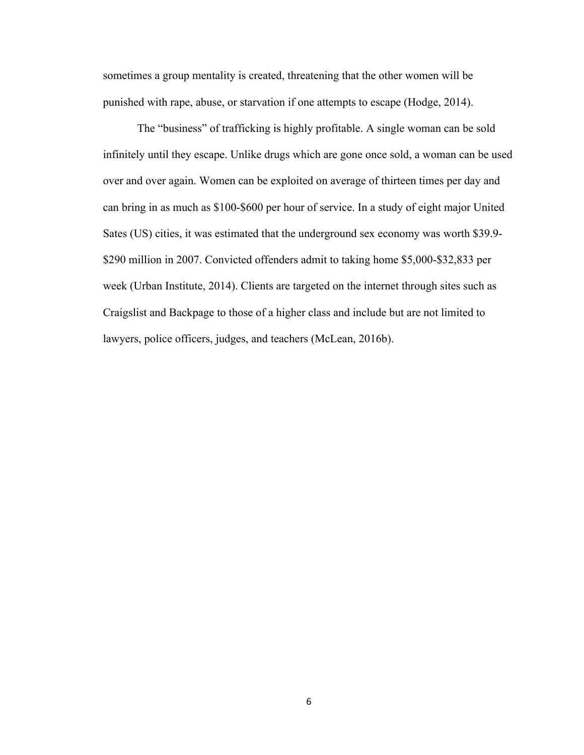sometimes a group mentality is created, threatening that the other women will be punished with rape, abuse, or starvation if one attempts to escape (Hodge, 2014).

The "business" of trafficking is highly profitable. A single woman can be sold infinitely until they escape. Unlike drugs which are gone once sold, a woman can be used over and over again. Women can be exploited on average of thirteen times per day and can bring in as much as \$100-\$600 per hour of service. In a study of eight major United Sates (US) cities, it was estimated that the underground sex economy was worth \$39.9- \$290 million in 2007. Convicted offenders admit to taking home \$5,000-\$32,833 per week (Urban Institute, 2014). Clients are targeted on the internet through sites such as Craigslist and Backpage to those of a higher class and include but are not limited to lawyers, police officers, judges, and teachers (McLean, 2016b).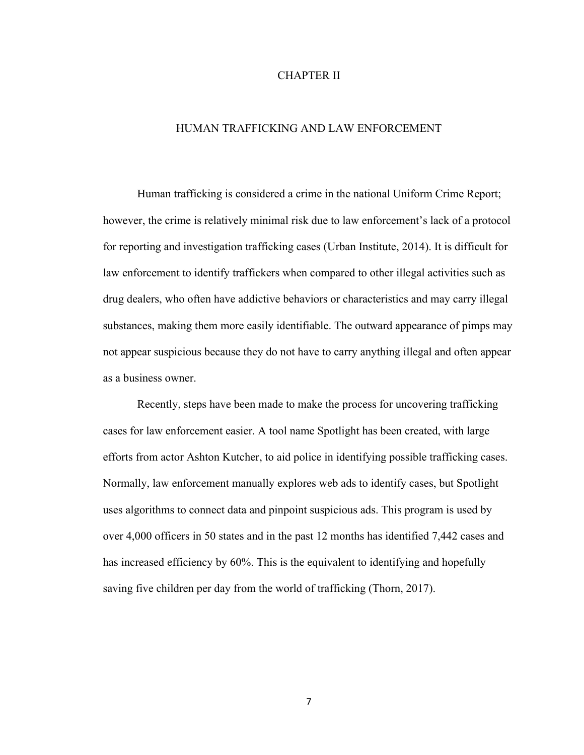### CHAPTER II

#### HUMAN TRAFFICKING AND LAW ENFORCEMENT

Human trafficking is considered a crime in the national Uniform Crime Report; however, the crime is relatively minimal risk due to law enforcement's lack of a protocol for reporting and investigation trafficking cases (Urban Institute, 2014). It is difficult for law enforcement to identify traffickers when compared to other illegal activities such as drug dealers, who often have addictive behaviors or characteristics and may carry illegal substances, making them more easily identifiable. The outward appearance of pimps may not appear suspicious because they do not have to carry anything illegal and often appear as a business owner.

Recently, steps have been made to make the process for uncovering trafficking cases for law enforcement easier. A tool name Spotlight has been created, with large efforts from actor Ashton Kutcher, to aid police in identifying possible trafficking cases. Normally, law enforcement manually explores web ads to identify cases, but Spotlight uses algorithms to connect data and pinpoint suspicious ads. This program is used by over 4,000 officers in 50 states and in the past 12 months has identified 7,442 cases and has increased efficiency by 60%. This is the equivalent to identifying and hopefully saving five children per day from the world of trafficking (Thorn, 2017).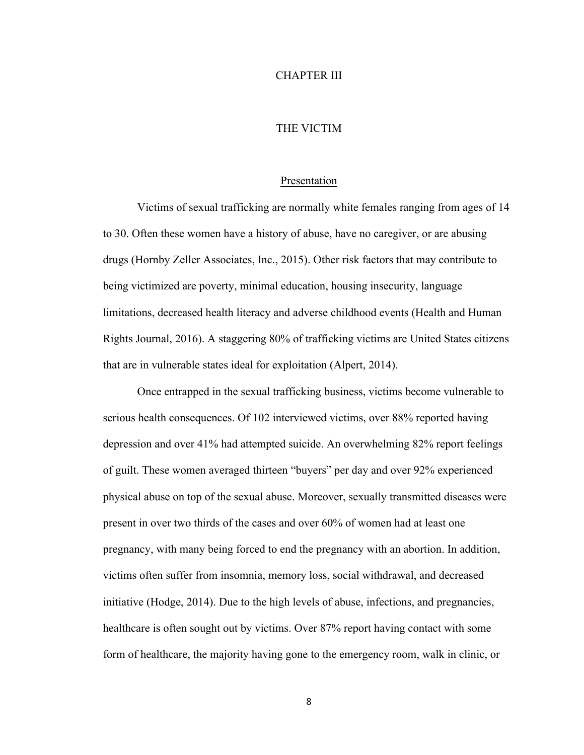#### CHAPTER III

### THE VICTIM

#### Presentation

Victims of sexual trafficking are normally white females ranging from ages of 14 to 30. Often these women have a history of abuse, have no caregiver, or are abusing drugs (Hornby Zeller Associates, Inc., 2015). Other risk factors that may contribute to being victimized are poverty, minimal education, housing insecurity, language limitations, decreased health literacy and adverse childhood events (Health and Human Rights Journal, 2016). A staggering 80% of trafficking victims are United States citizens that are in vulnerable states ideal for exploitation (Alpert, 2014).

Once entrapped in the sexual trafficking business, victims become vulnerable to serious health consequences. Of 102 interviewed victims, over 88% reported having depression and over 41% had attempted suicide. An overwhelming 82% report feelings of guilt. These women averaged thirteen "buyers" per day and over 92% experienced physical abuse on top of the sexual abuse. Moreover, sexually transmitted diseases were present in over two thirds of the cases and over 60% of women had at least one pregnancy, with many being forced to end the pregnancy with an abortion. In addition, victims often suffer from insomnia, memory loss, social withdrawal, and decreased initiative (Hodge, 2014). Due to the high levels of abuse, infections, and pregnancies, healthcare is often sought out by victims. Over 87% report having contact with some form of healthcare, the majority having gone to the emergency room, walk in clinic, or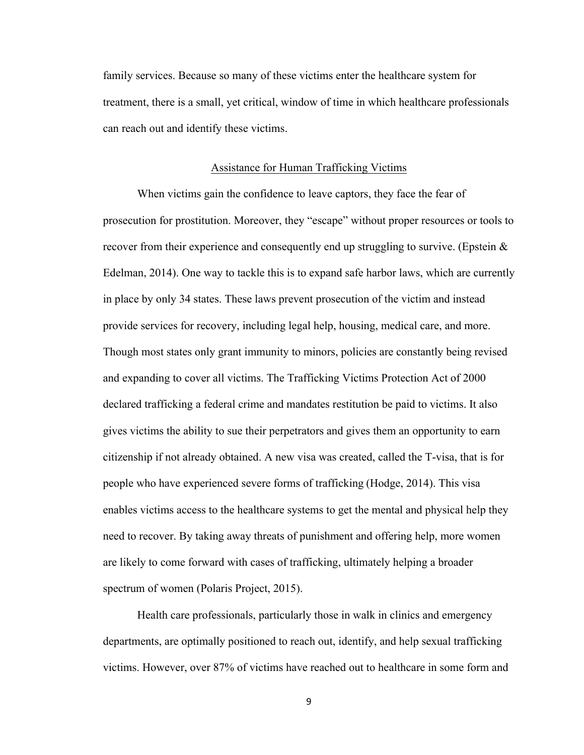family services. Because so many of these victims enter the healthcare system for treatment, there is a small, yet critical, window of time in which healthcare professionals can reach out and identify these victims.

### Assistance for Human Trafficking Victims

When victims gain the confidence to leave captors, they face the fear of prosecution for prostitution. Moreover, they "escape" without proper resources or tools to recover from their experience and consequently end up struggling to survive. (Epstein  $\&$ Edelman, 2014). One way to tackle this is to expand safe harbor laws, which are currently in place by only 34 states. These laws prevent prosecution of the victim and instead provide services for recovery, including legal help, housing, medical care, and more. Though most states only grant immunity to minors, policies are constantly being revised and expanding to cover all victims. The Trafficking Victims Protection Act of 2000 declared trafficking a federal crime and mandates restitution be paid to victims. It also gives victims the ability to sue their perpetrators and gives them an opportunity to earn citizenship if not already obtained. A new visa was created, called the T-visa, that is for people who have experienced severe forms of trafficking (Hodge, 2014). This visa enables victims access to the healthcare systems to get the mental and physical help they need to recover. By taking away threats of punishment and offering help, more women are likely to come forward with cases of trafficking, ultimately helping a broader spectrum of women (Polaris Project, 2015).

Health care professionals, particularly those in walk in clinics and emergency departments, are optimally positioned to reach out, identify, and help sexual trafficking victims. However, over 87% of victims have reached out to healthcare in some form and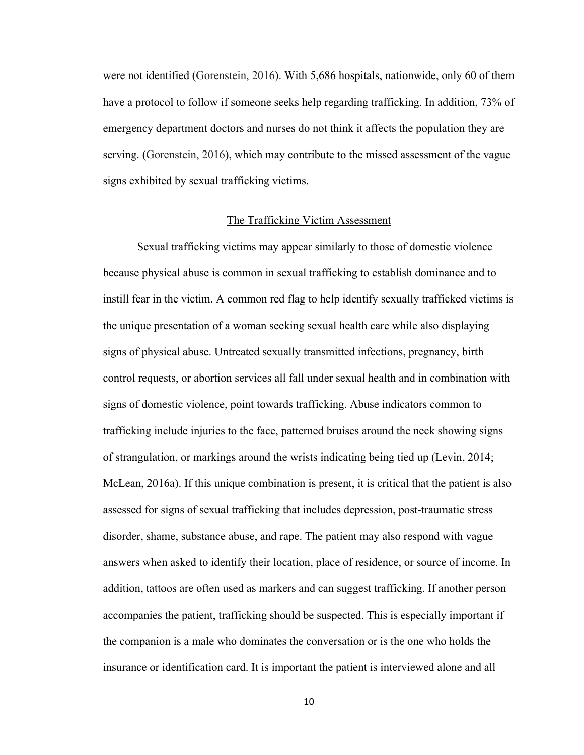were not identified (Gorenstein, 2016). With 5,686 hospitals, nationwide, only 60 of them have a protocol to follow if someone seeks help regarding trafficking. In addition, 73% of emergency department doctors and nurses do not think it affects the population they are serving. (Gorenstein, 2016), which may contribute to the missed assessment of the vague signs exhibited by sexual trafficking victims.

### The Trafficking Victim Assessment

Sexual trafficking victims may appear similarly to those of domestic violence because physical abuse is common in sexual trafficking to establish dominance and to instill fear in the victim. A common red flag to help identify sexually trafficked victims is the unique presentation of a woman seeking sexual health care while also displaying signs of physical abuse. Untreated sexually transmitted infections, pregnancy, birth control requests, or abortion services all fall under sexual health and in combination with signs of domestic violence, point towards trafficking. Abuse indicators common to trafficking include injuries to the face, patterned bruises around the neck showing signs of strangulation, or markings around the wrists indicating being tied up (Levin, 2014; McLean, 2016a). If this unique combination is present, it is critical that the patient is also assessed for signs of sexual trafficking that includes depression, post-traumatic stress disorder, shame, substance abuse, and rape. The patient may also respond with vague answers when asked to identify their location, place of residence, or source of income. In addition, tattoos are often used as markers and can suggest trafficking. If another person accompanies the patient, trafficking should be suspected. This is especially important if the companion is a male who dominates the conversation or is the one who holds the insurance or identification card. It is important the patient is interviewed alone and all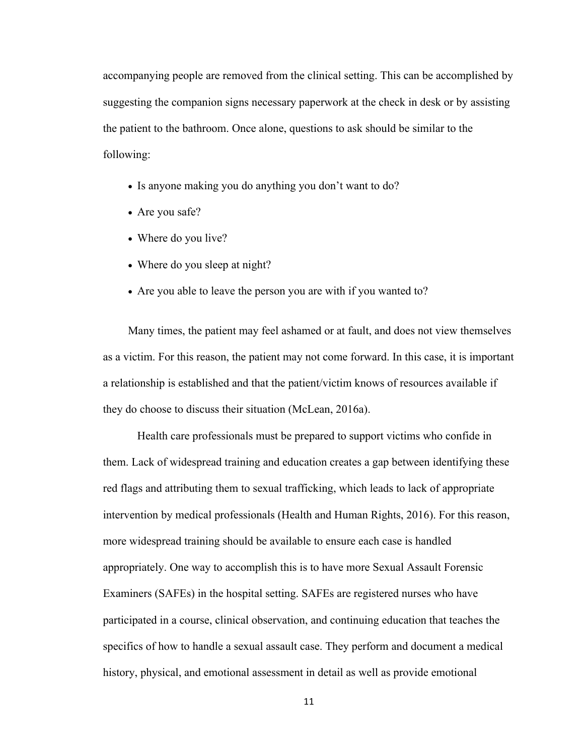accompanying people are removed from the clinical setting. This can be accomplished by suggesting the companion signs necessary paperwork at the check in desk or by assisting the patient to the bathroom. Once alone, questions to ask should be similar to the following:

- Is anyone making you do anything you don't want to do?
- Are you safe?
- Where do you live?
- Where do you sleep at night?
- Are you able to leave the person you are with if you wanted to?

Many times, the patient may feel ashamed or at fault, and does not view themselves as a victim. For this reason, the patient may not come forward. In this case, it is important a relationship is established and that the patient/victim knows of resources available if they do choose to discuss their situation (McLean, 2016a).

Health care professionals must be prepared to support victims who confide in them. Lack of widespread training and education creates a gap between identifying these red flags and attributing them to sexual trafficking, which leads to lack of appropriate intervention by medical professionals (Health and Human Rights, 2016). For this reason, more widespread training should be available to ensure each case is handled appropriately. One way to accomplish this is to have more Sexual Assault Forensic Examiners (SAFEs) in the hospital setting. SAFEs are registered nurses who have participated in a course, clinical observation, and continuing education that teaches the specifics of how to handle a sexual assault case. They perform and document a medical history, physical, and emotional assessment in detail as well as provide emotional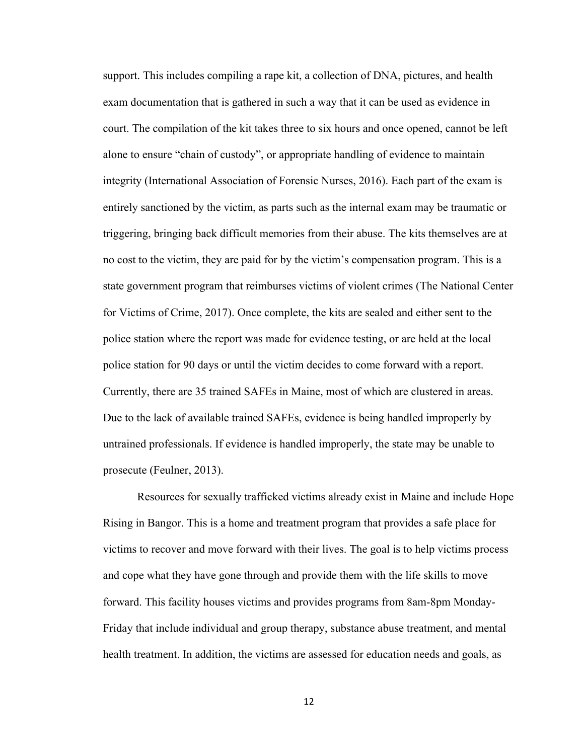support. This includes compiling a rape kit, a collection of DNA, pictures, and health exam documentation that is gathered in such a way that it can be used as evidence in court. The compilation of the kit takes three to six hours and once opened, cannot be left alone to ensure "chain of custody", or appropriate handling of evidence to maintain integrity (International Association of Forensic Nurses, 2016). Each part of the exam is entirely sanctioned by the victim, as parts such as the internal exam may be traumatic or triggering, bringing back difficult memories from their abuse. The kits themselves are at no cost to the victim, they are paid for by the victim's compensation program. This is a state government program that reimburses victims of violent crimes (The National Center for Victims of Crime, 2017). Once complete, the kits are sealed and either sent to the police station where the report was made for evidence testing, or are held at the local police station for 90 days or until the victim decides to come forward with a report. Currently, there are 35 trained SAFEs in Maine, most of which are clustered in areas. Due to the lack of available trained SAFEs, evidence is being handled improperly by untrained professionals. If evidence is handled improperly, the state may be unable to prosecute (Feulner, 2013).

Resources for sexually trafficked victims already exist in Maine and include Hope Rising in Bangor. This is a home and treatment program that provides a safe place for victims to recover and move forward with their lives. The goal is to help victims process and cope what they have gone through and provide them with the life skills to move forward. This facility houses victims and provides programs from 8am-8pm Monday-Friday that include individual and group therapy, substance abuse treatment, and mental health treatment. In addition, the victims are assessed for education needs and goals, as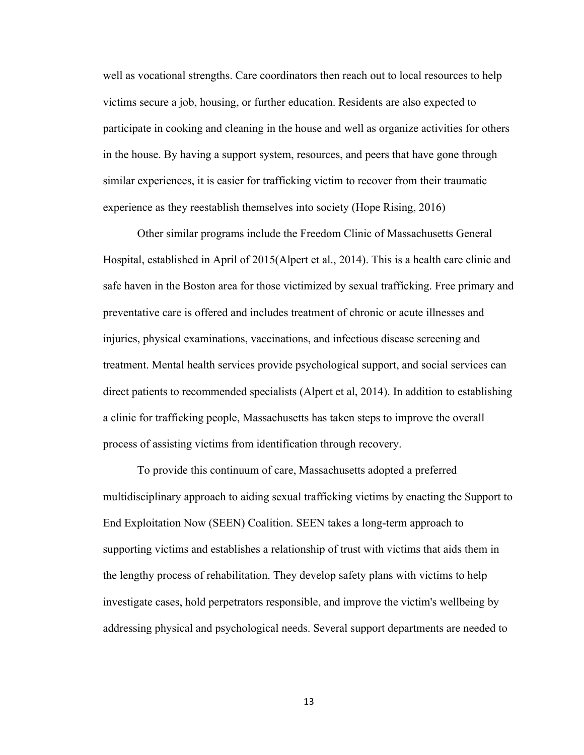well as vocational strengths. Care coordinators then reach out to local resources to help victims secure a job, housing, or further education. Residents are also expected to participate in cooking and cleaning in the house and well as organize activities for others in the house. By having a support system, resources, and peers that have gone through similar experiences, it is easier for trafficking victim to recover from their traumatic experience as they reestablish themselves into society (Hope Rising, 2016)

Other similar programs include the Freedom Clinic of Massachusetts General Hospital, established in April of 2015(Alpert et al., 2014). This is a health care clinic and safe haven in the Boston area for those victimized by sexual trafficking. Free primary and preventative care is offered and includes treatment of chronic or acute illnesses and injuries, physical examinations, vaccinations, and infectious disease screening and treatment. Mental health services provide psychological support, and social services can direct patients to recommended specialists (Alpert et al, 2014). In addition to establishing a clinic for trafficking people, Massachusetts has taken steps to improve the overall process of assisting victims from identification through recovery.

To provide this continuum of care, Massachusetts adopted a preferred multidisciplinary approach to aiding sexual trafficking victims by enacting the Support to End Exploitation Now (SEEN) Coalition. SEEN takes a long-term approach to supporting victims and establishes a relationship of trust with victims that aids them in the lengthy process of rehabilitation. They develop safety plans with victims to help investigate cases, hold perpetrators responsible, and improve the victim's wellbeing by addressing physical and psychological needs. Several support departments are needed to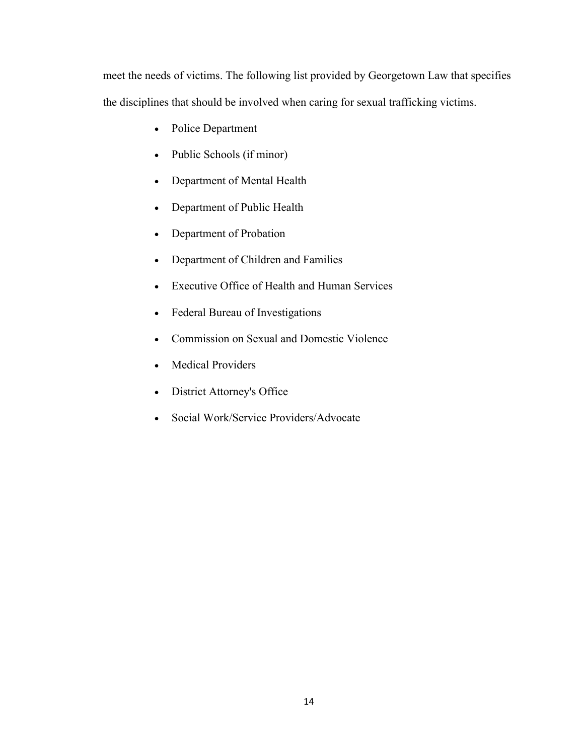meet the needs of victims. The following list provided by Georgetown Law that specifies the disciplines that should be involved when caring for sexual trafficking victims.

- Police Department
- Public Schools (if minor)
- Department of Mental Health
- Department of Public Health
- Department of Probation
- Department of Children and Families
- Executive Office of Health and Human Services
- Federal Bureau of Investigations
- Commission on Sexual and Domestic Violence
- Medical Providers
- District Attorney's Office
- Social Work/Service Providers/Advocate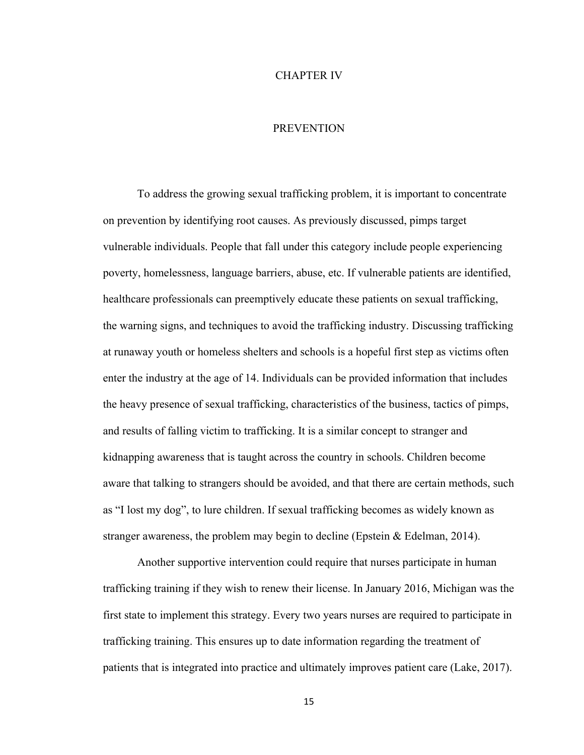#### CHAPTER IV

#### **PREVENTION**

To address the growing sexual trafficking problem, it is important to concentrate on prevention by identifying root causes. As previously discussed, pimps target vulnerable individuals. People that fall under this category include people experiencing poverty, homelessness, language barriers, abuse, etc. If vulnerable patients are identified, healthcare professionals can preemptively educate these patients on sexual trafficking, the warning signs, and techniques to avoid the trafficking industry. Discussing trafficking at runaway youth or homeless shelters and schools is a hopeful first step as victims often enter the industry at the age of 14. Individuals can be provided information that includes the heavy presence of sexual trafficking, characteristics of the business, tactics of pimps, and results of falling victim to trafficking. It is a similar concept to stranger and kidnapping awareness that is taught across the country in schools. Children become aware that talking to strangers should be avoided, and that there are certain methods, such as "I lost my dog", to lure children. If sexual trafficking becomes as widely known as stranger awareness, the problem may begin to decline (Epstein & Edelman, 2014).

Another supportive intervention could require that nurses participate in human trafficking training if they wish to renew their license. In January 2016, Michigan was the first state to implement this strategy. Every two years nurses are required to participate in trafficking training. This ensures up to date information regarding the treatment of patients that is integrated into practice and ultimately improves patient care (Lake, 2017).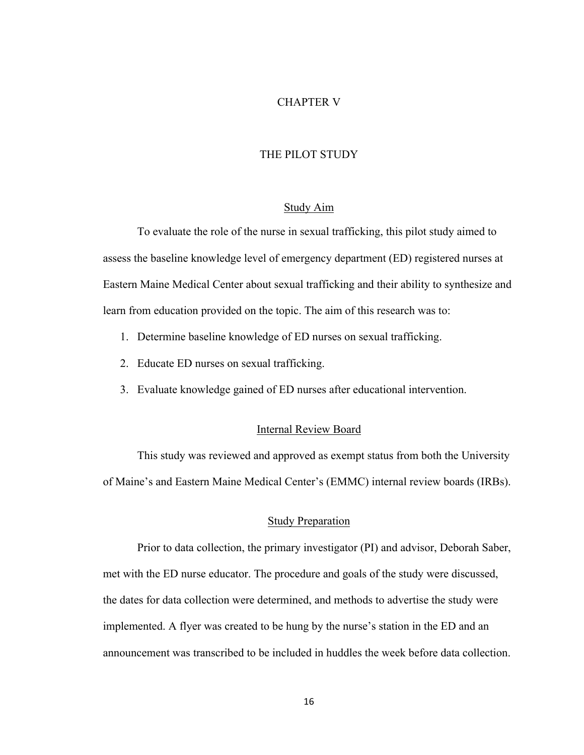### CHAPTER V

#### THE PILOT STUDY

### Study Aim

To evaluate the role of the nurse in sexual trafficking, this pilot study aimed to assess the baseline knowledge level of emergency department (ED) registered nurses at Eastern Maine Medical Center about sexual trafficking and their ability to synthesize and learn from education provided on the topic. The aim of this research was to:

- 1. Determine baseline knowledge of ED nurses on sexual trafficking.
- 2. Educate ED nurses on sexual trafficking.
- 3. Evaluate knowledge gained of ED nurses after educational intervention.

#### Internal Review Board

This study was reviewed and approved as exempt status from both the University of Maine's and Eastern Maine Medical Center's (EMMC) internal review boards (IRBs).

### Study Preparation

Prior to data collection, the primary investigator (PI) and advisor, Deborah Saber, met with the ED nurse educator. The procedure and goals of the study were discussed, the dates for data collection were determined, and methods to advertise the study were implemented. A flyer was created to be hung by the nurse's station in the ED and an announcement was transcribed to be included in huddles the week before data collection.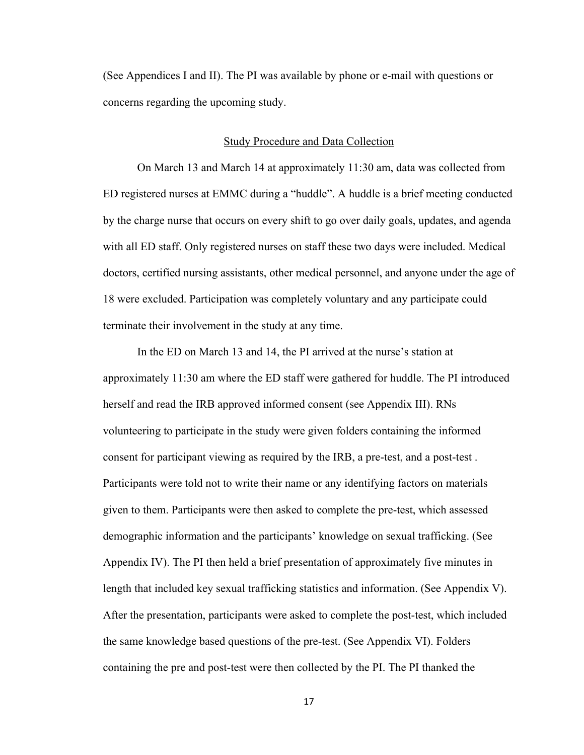(See Appendices I and II). The PI was available by phone or e-mail with questions or concerns regarding the upcoming study.

#### Study Procedure and Data Collection

On March 13 and March 14 at approximately 11:30 am, data was collected from ED registered nurses at EMMC during a "huddle". A huddle is a brief meeting conducted by the charge nurse that occurs on every shift to go over daily goals, updates, and agenda with all ED staff. Only registered nurses on staff these two days were included. Medical doctors, certified nursing assistants, other medical personnel, and anyone under the age of 18 were excluded. Participation was completely voluntary and any participate could terminate their involvement in the study at any time.

In the ED on March 13 and 14, the PI arrived at the nurse's station at approximately 11:30 am where the ED staff were gathered for huddle. The PI introduced herself and read the IRB approved informed consent (see Appendix III). RNs volunteering to participate in the study were given folders containing the informed consent for participant viewing as required by the IRB, a pre-test, and a post-test . Participants were told not to write their name or any identifying factors on materials given to them. Participants were then asked to complete the pre-test, which assessed demographic information and the participants' knowledge on sexual trafficking. (See Appendix IV). The PI then held a brief presentation of approximately five minutes in length that included key sexual trafficking statistics and information. (See Appendix V). After the presentation, participants were asked to complete the post-test, which included the same knowledge based questions of the pre-test. (See Appendix VI). Folders containing the pre and post-test were then collected by the PI. The PI thanked the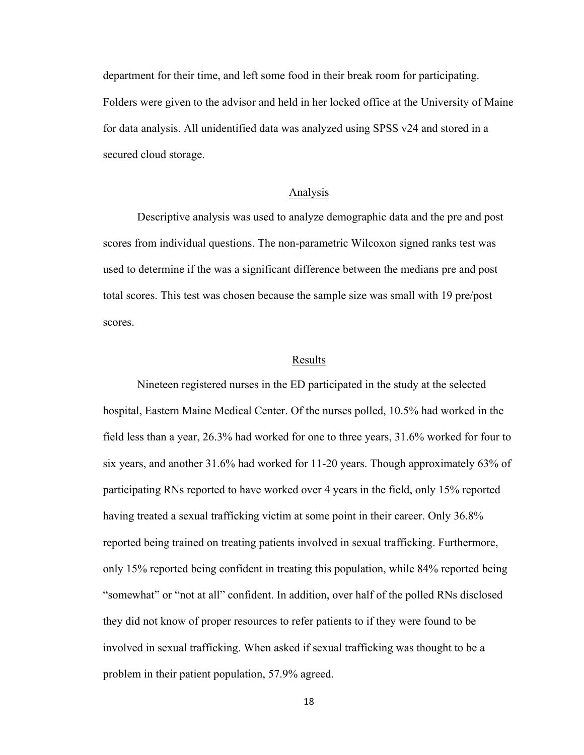department for their time, and left some food in their break room for participating. Folders were given to the advisor and held in her locked office at the University of Maine for data analysis. All unidentified data was analyzed using SPSS v24 and stored in a secured cloud storage.

### Analysis

Descriptive analysis was used to analyze demographic data and the pre and post scores from individual questions. The non-parametric Wilcoxon signed ranks test was used to determine if the was a significant difference between the medians pre and post total scores. This test was chosen because the sample size was small with 19 pre/post scores.

#### Results

Nineteen registered nurses in the ED participated in the study at the selected hospital, Eastern Maine Medical Center. Of the nurses polled, 10.5% had worked in the field less than a year, 26.3% had worked for one to three years, 31.6% worked for four to six years, and another 31.6% had worked for 11-20 years. Though approximately 63% of participating RNs reported to have worked over 4 years in the field, only 15% reported having treated a sexual trafficking victim at some point in their career. Only 36.8% reported being trained on treating patients involved in sexual trafficking. Furthermore, only 15% reported being confident in treating this population, while 84% reported being "somewhat" or "not at all" confident. In addition, over half of the polled RNs disclosed they did not know of proper resources to refer patients to if they were found to be involved in sexual trafficking. When asked if sexual trafficking was thought to be a problem in their patient population, 57.9% agreed.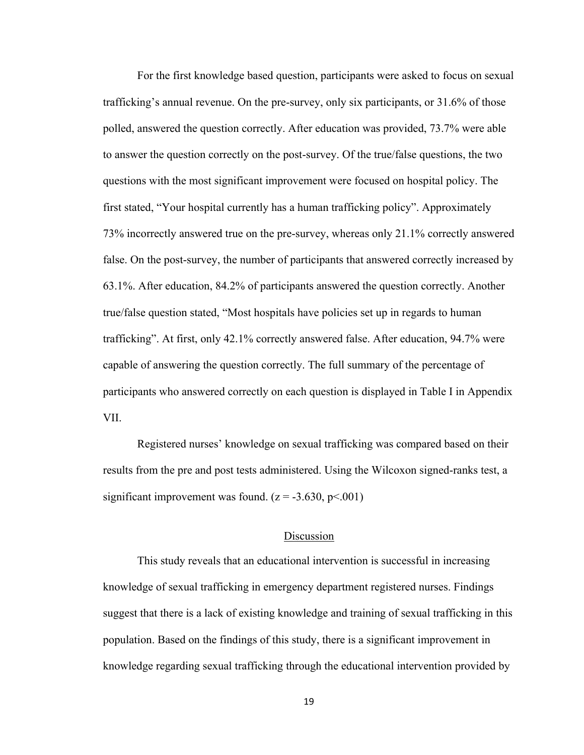For the first knowledge based question, participants were asked to focus on sexual trafficking's annual revenue. On the pre-survey, only six participants, or 31.6% of those polled, answered the question correctly. After education was provided, 73.7% were able to answer the question correctly on the post-survey. Of the true/false questions, the two questions with the most significant improvement were focused on hospital policy. The first stated, "Your hospital currently has a human trafficking policy". Approximately 73% incorrectly answered true on the pre-survey, whereas only 21.1% correctly answered false. On the post-survey, the number of participants that answered correctly increased by 63.1%. After education, 84.2% of participants answered the question correctly. Another true/false question stated, "Most hospitals have policies set up in regards to human trafficking". At first, only 42.1% correctly answered false. After education, 94.7% were capable of answering the question correctly. The full summary of the percentage of participants who answered correctly on each question is displayed in Table I in Appendix VII.

Registered nurses' knowledge on sexual trafficking was compared based on their results from the pre and post tests administered. Using the Wilcoxon signed-ranks test, a significant improvement was found.  $(z = -3.630, p < 0.001)$ 

#### Discussion

This study reveals that an educational intervention is successful in increasing knowledge of sexual trafficking in emergency department registered nurses. Findings suggest that there is a lack of existing knowledge and training of sexual trafficking in this population. Based on the findings of this study, there is a significant improvement in knowledge regarding sexual trafficking through the educational intervention provided by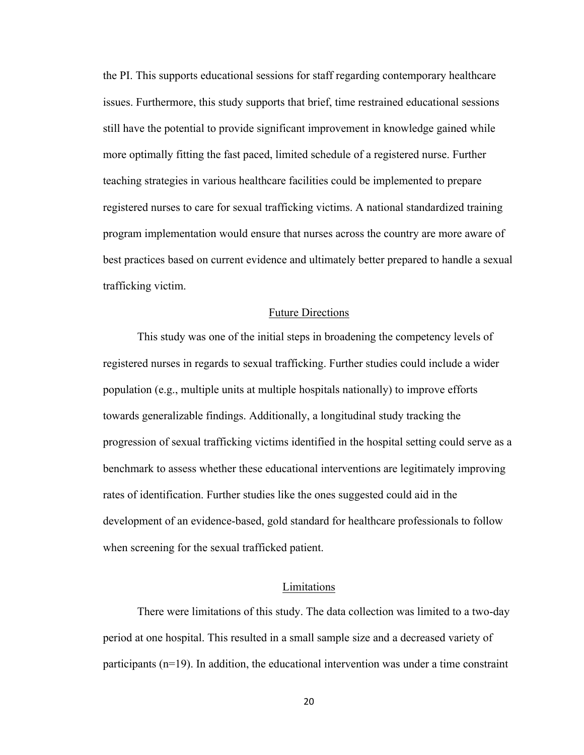the PI. This supports educational sessions for staff regarding contemporary healthcare issues. Furthermore, this study supports that brief, time restrained educational sessions still have the potential to provide significant improvement in knowledge gained while more optimally fitting the fast paced, limited schedule of a registered nurse. Further teaching strategies in various healthcare facilities could be implemented to prepare registered nurses to care for sexual trafficking victims. A national standardized training program implementation would ensure that nurses across the country are more aware of best practices based on current evidence and ultimately better prepared to handle a sexual trafficking victim.

#### Future Directions

This study was one of the initial steps in broadening the competency levels of registered nurses in regards to sexual trafficking. Further studies could include a wider population (e.g., multiple units at multiple hospitals nationally) to improve efforts towards generalizable findings. Additionally, a longitudinal study tracking the progression of sexual trafficking victims identified in the hospital setting could serve as a benchmark to assess whether these educational interventions are legitimately improving rates of identification. Further studies like the ones suggested could aid in the development of an evidence-based, gold standard for healthcare professionals to follow when screening for the sexual trafficked patient.

### Limitations

There were limitations of this study. The data collection was limited to a two-day period at one hospital. This resulted in a small sample size and a decreased variety of participants  $(n=19)$ . In addition, the educational intervention was under a time constraint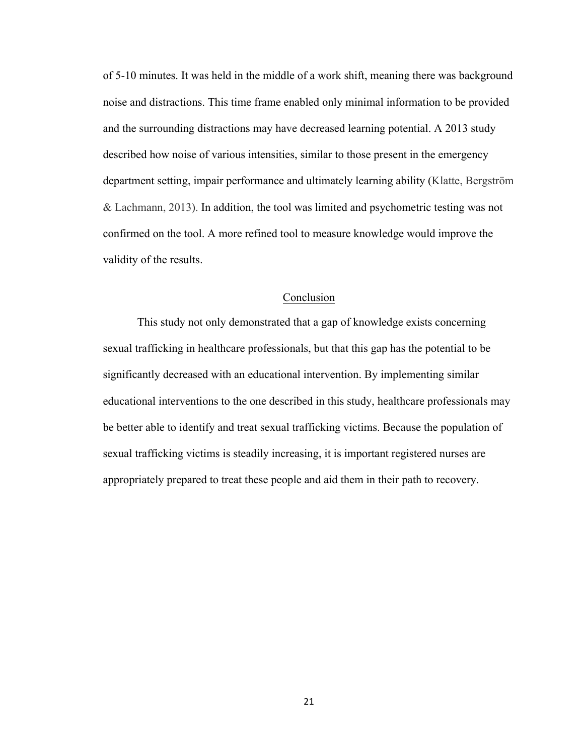of 5-10 minutes. It was held in the middle of a work shift, meaning there was background noise and distractions. This time frame enabled only minimal information to be provided and the surrounding distractions may have decreased learning potential. A 2013 study described how noise of various intensities, similar to those present in the emergency department setting, impair performance and ultimately learning ability (Klatte, Bergström & Lachmann, 2013). In addition, the tool was limited and psychometric testing was not confirmed on the tool. A more refined tool to measure knowledge would improve the validity of the results.

### Conclusion

This study not only demonstrated that a gap of knowledge exists concerning sexual trafficking in healthcare professionals, but that this gap has the potential to be significantly decreased with an educational intervention. By implementing similar educational interventions to the one described in this study, healthcare professionals may be better able to identify and treat sexual trafficking victims. Because the population of sexual trafficking victims is steadily increasing, it is important registered nurses are appropriately prepared to treat these people and aid them in their path to recovery.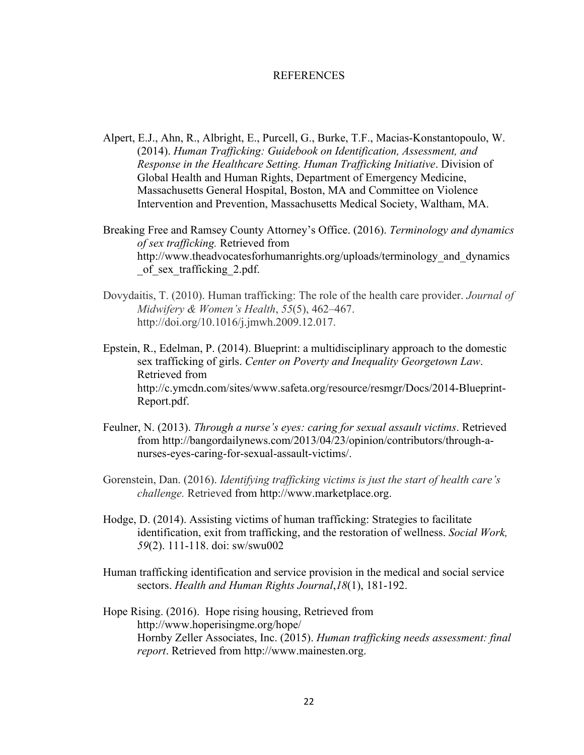#### REFERENCES

- Alpert, E.J., Ahn, R., Albright, E., Purcell, G., Burke, T.F., Macias-Konstantopoulo, W. (2014). *Human Trafficking: Guidebook on Identification, Assessment, and Response in the Healthcare Setting. Human Trafficking Initiative*. Division of Global Health and Human Rights, Department of Emergency Medicine, Massachusetts General Hospital, Boston, MA and Committee on Violence Intervention and Prevention, Massachusetts Medical Society, Waltham, MA.
- Breaking Free and Ramsey County Attorney's Office. (2016). *Terminology and dynamics of sex trafficking.* Retrieved from http://www.theadvocatesforhumanrights.org/uploads/terminology and dynamics of sex trafficking 2.pdf.
- Dovydaitis, T. (2010). Human trafficking: The role of the health care provider. *Journal of Midwifery & Women's Health*, *55*(5), 462–467. http://doi.org/10.1016/j.jmwh.2009.12.017.
- Epstein, R., Edelman, P. (2014). Blueprint: a multidisciplinary approach to the domestic sex trafficking of girls. *Center on Poverty and Inequality Georgetown Law*. Retrieved from http://c.ymcdn.com/sites/www.safeta.org/resource/resmgr/Docs/2014-Blueprint-Report.pdf.
- Feulner, N. (2013). *Through a nurse's eyes: caring for sexual assault victims*. Retrieved from http://bangordailynews.com/2013/04/23/opinion/contributors/through-anurses-eyes-caring-for-sexual-assault-victims/.
- Gorenstein, Dan. (2016). *Identifying trafficking victims is just the start of health care's challenge.* Retrieved from http://www.marketplace.org.
- Hodge, D. (2014). Assisting victims of human trafficking: Strategies to facilitate identification, exit from trafficking, and the restoration of wellness. *Social Work, 59*(2). 111-118. doi: sw/swu002
- Human trafficking identification and service provision in the medical and social service sectors. *Health and Human Rights Journal*,*18*(1), 181-192.
- Hope Rising. (2016). Hope rising housing, Retrieved from http://www.hoperisingme.org/hope/ Hornby Zeller Associates, Inc. (2015). *Human trafficking needs assessment: final report*. Retrieved from http://www.mainesten.org.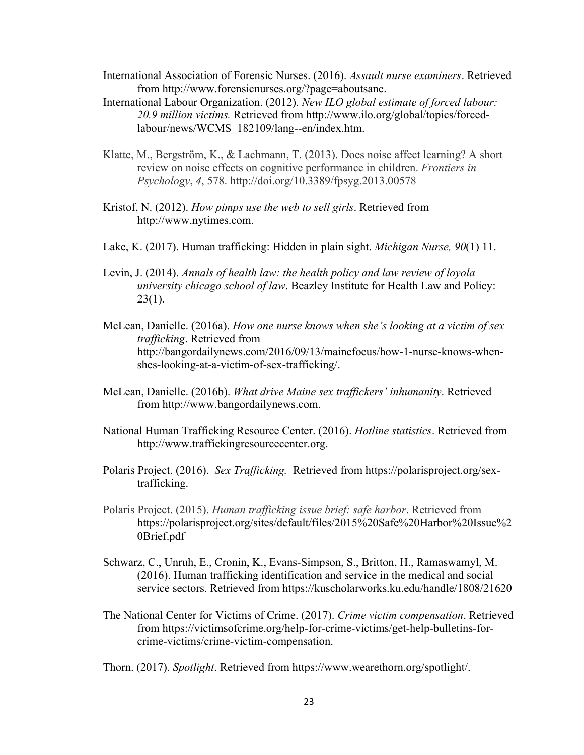- International Association of Forensic Nurses. (2016). *Assault nurse examiners*. Retrieved from http://www.forensicnurses.org/?page=aboutsane.
- International Labour Organization. (2012). *New ILO global estimate of forced labour: 20.9 million victims.* Retrieved from http://www.ilo.org/global/topics/forcedlabour/news/WCMS\_182109/lang--en/index.htm.
- Klatte, M., Bergström, K., & Lachmann, T. (2013). Does noise affect learning? A short review on noise effects on cognitive performance in children. *Frontiers in Psychology*, *4*, 578. http://doi.org/10.3389/fpsyg.2013.00578
- Kristof, N. (2012). *How pimps use the web to sell girls*. Retrieved from http://www.nytimes.com.
- Lake, K. (2017). Human trafficking: Hidden in plain sight. *Michigan Nurse, 90*(1) 11.
- Levin, J. (2014). *Annals of health law: the health policy and law review of loyola university chicago school of law*. Beazley Institute for Health Law and Policy:  $23(1)$ .
- McLean, Danielle. (2016a). *How one nurse knows when she's looking at a victim of sex trafficking*. Retrieved from http://bangordailynews.com/2016/09/13/mainefocus/how-1-nurse-knows-whenshes-looking-at-a-victim-of-sex-trafficking/.
- McLean, Danielle. (2016b). *What drive Maine sex traffickers' inhumanity*. Retrieved from http://www.bangordailynews.com.
- National Human Trafficking Resource Center. (2016). *Hotline statistics*. Retrieved from http://www.traffickingresourcecenter.org.
- Polaris Project. (2016). *Sex Trafficking.* Retrieved from https://polarisproject.org/sextrafficking.
- Polaris Project. (2015). *Human trafficking issue brief: safe harbor*. Retrieved from https://polarisproject.org/sites/default/files/2015%20Safe%20Harbor%20Issue%2 0Brief.pdf
- Schwarz, C., Unruh, E., Cronin, K., Evans-Simpson, S., Britton, H., Ramaswamyl, M. (2016). Human trafficking identification and service in the medical and social service sectors. Retrieved from https://kuscholarworks.ku.edu/handle/1808/21620
- The National Center for Victims of Crime. (2017). *Crime victim compensation*. Retrieved from https://victimsofcrime.org/help-for-crime-victims/get-help-bulletins-forcrime-victims/crime-victim-compensation.

Thorn. (2017). *Spotlight*. Retrieved from https://www.wearethorn.org/spotlight/.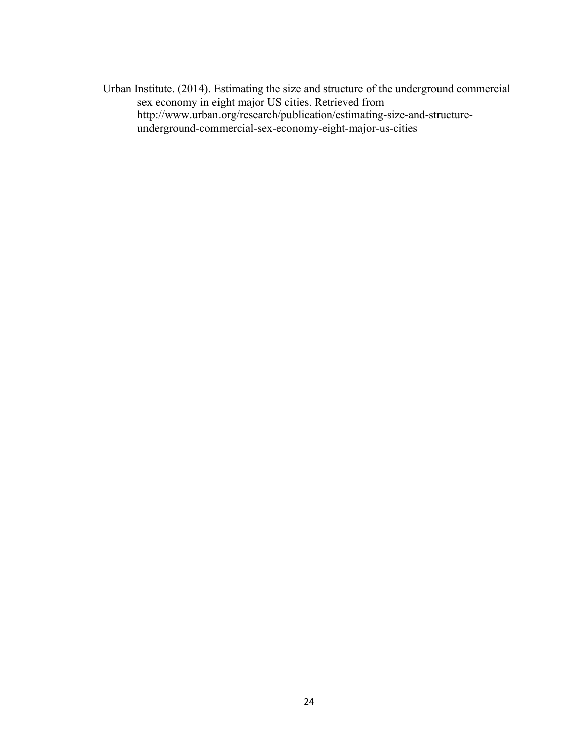Urban Institute. (2014). Estimating the size and structure of the underground commercial sex economy in eight major US cities. Retrieved from http://www.urban.org/research/publication/estimating-size-and-structureunderground-commercial-sex-economy-eight-major-us-cities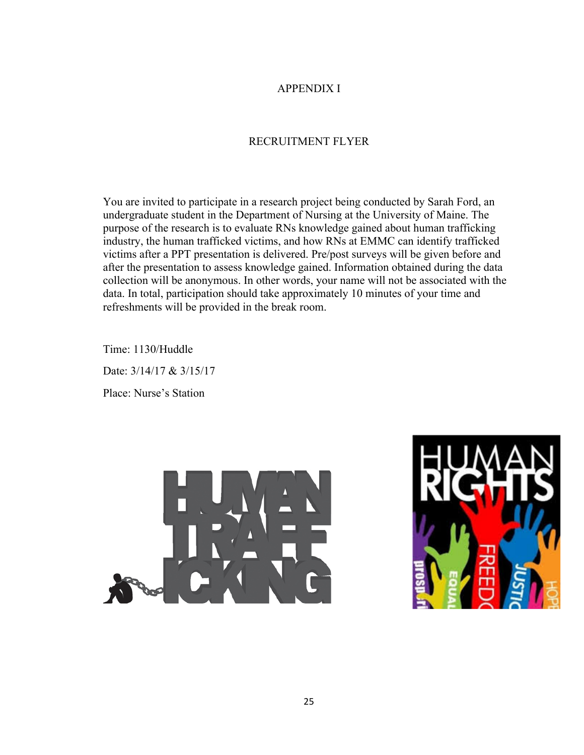### APPENDIX I

# RECRUITMENT FLYER

You are invited to participate in a research project being conducted by Sarah Ford, an undergraduate student in the Department of Nursing at the University of Maine. The purpose of the research is to evaluate RNs knowledge gained about human trafficking industry, the human trafficked victims, and how RNs at EMMC can identify trafficked victims after a PPT presentation is delivered. Pre/post surveys will be given before and after the presentation to assess knowledge gained. Information obtained during the data collection will be anonymous. In other words, your name will not be associated with the data. In total, participation should take approximately 10 minutes of your time and refreshments will be provided in the break room.

Time: 1130/Huddle Date: 3/14/17 & 3/15/17 Place: Nurse's Station



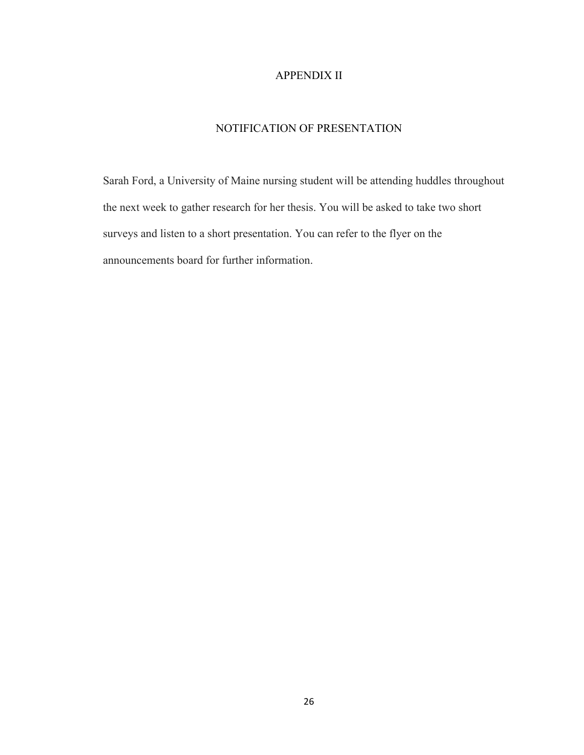### APPENDIX II

### NOTIFICATION OF PRESENTATION

Sarah Ford, a University of Maine nursing student will be attending huddles throughout the next week to gather research for her thesis. You will be asked to take two short surveys and listen to a short presentation. You can refer to the flyer on the announcements board for further information.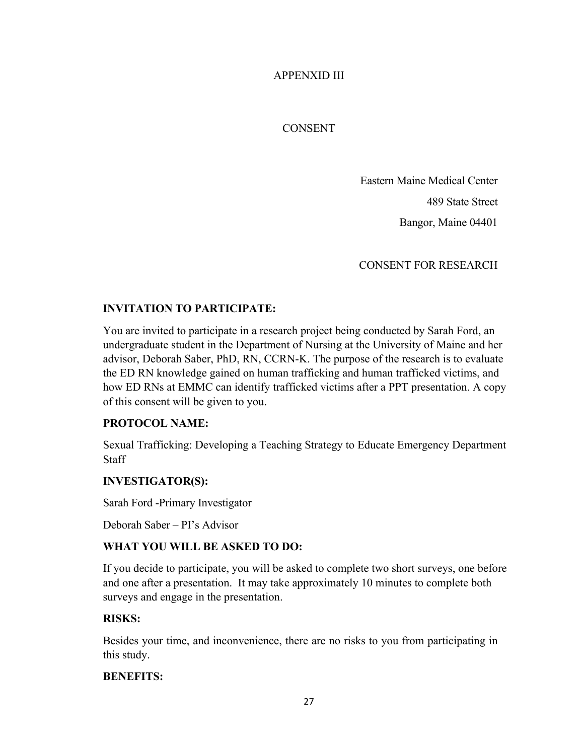APPENXID III

CONSENT

Eastern Maine Medical Center

489 State Street

Bangor, Maine 04401

CONSENT FOR RESEARCH

# **INVITATION TO PARTICIPATE:**

You are invited to participate in a research project being conducted by Sarah Ford, an undergraduate student in the Department of Nursing at the University of Maine and her advisor, Deborah Saber, PhD, RN, CCRN-K. The purpose of the research is to evaluate the ED RN knowledge gained on human trafficking and human trafficked victims, and how ED RNs at EMMC can identify trafficked victims after a PPT presentation. A copy of this consent will be given to you.

# **PROTOCOL NAME:**

Sexual Trafficking: Developing a Teaching Strategy to Educate Emergency Department **Staff** 

# **INVESTIGATOR(S):**

Sarah Ford -Primary Investigator

Deborah Saber – PI's Advisor

### **WHAT YOU WILL BE ASKED TO DO:**

If you decide to participate, you will be asked to complete two short surveys, one before and one after a presentation. It may take approximately 10 minutes to complete both surveys and engage in the presentation.

### **RISKS:**

Besides your time, and inconvenience, there are no risks to you from participating in this study.

### **BENEFITS:**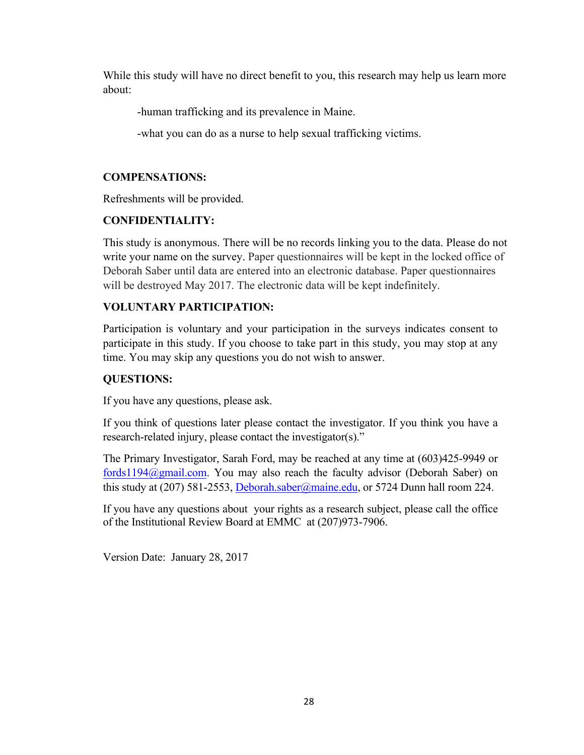While this study will have no direct benefit to you, this research may help us learn more about:

-human trafficking and its prevalence in Maine.

-what you can do as a nurse to help sexual trafficking victims.

### **COMPENSATIONS:**

Refreshments will be provided.

# **CONFIDENTIALITY:**

This study is anonymous. There will be no records linking you to the data. Please do not write your name on the survey. Paper questionnaires will be kept in the locked office of Deborah Saber until data are entered into an electronic database. Paper questionnaires will be destroyed May 2017. The electronic data will be kept indefinitely.

# **VOLUNTARY PARTICIPATION:**

Participation is voluntary and your participation in the surveys indicates consent to participate in this study. If you choose to take part in this study, you may stop at any time. You may skip any questions you do not wish to answer.

# **QUESTIONS:**

If you have any questions, please ask.

If you think of questions later please contact the investigator. If you think you have a research-related injury, please contact the investigator(s)."

The Primary Investigator, Sarah Ford, may be reached at any time at (603)425-9949 or fords1194@gmail.com. You may also reach the faculty advisor (Deborah Saber) on this study at (207) 581-2553, Deborah.saber@maine.edu, or 5724 Dunn hall room 224.

If you have any questions about your rights as a research subject, please call the office of the Institutional Review Board at EMMC at (207)973-7906.

Version Date: January 28, 2017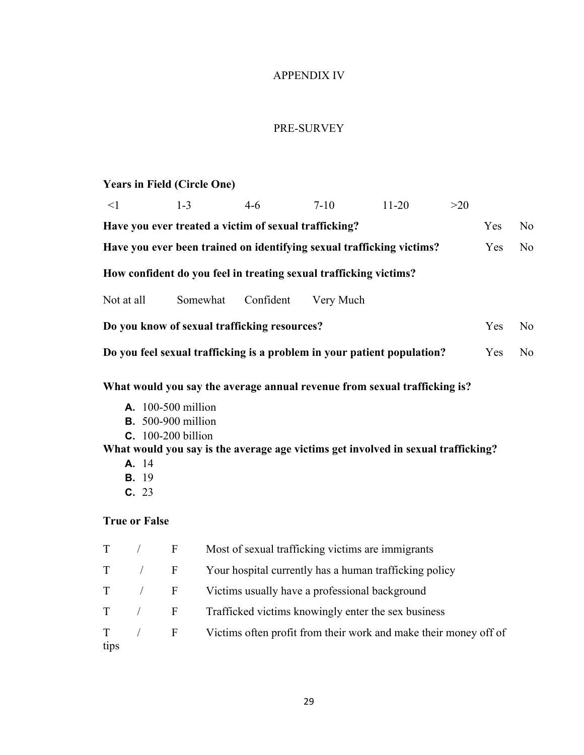# APPENDIX IV

# PRE-SURVEY

# **Years in Field (Circle One)**

| $\leq$ 1   |                                                                                           | $1 - 3$                                                                             |  | $4 - 6$                                               | $7 - 10$                                                                                                                                                       | $11 - 20$ | $>20$ |     |                |
|------------|-------------------------------------------------------------------------------------------|-------------------------------------------------------------------------------------|--|-------------------------------------------------------|----------------------------------------------------------------------------------------------------------------------------------------------------------------|-----------|-------|-----|----------------|
|            |                                                                                           |                                                                                     |  | Have you ever treated a victim of sexual trafficking? |                                                                                                                                                                |           |       | Yes | N <sub>o</sub> |
|            |                                                                                           |                                                                                     |  |                                                       | Have you ever been trained on identifying sexual trafficking victims?                                                                                          |           |       | Yes | N <sub>o</sub> |
|            |                                                                                           |                                                                                     |  |                                                       | How confident do you feel in treating sexual trafficking victims?                                                                                              |           |       |     |                |
| Not at all |                                                                                           | Somewhat                                                                            |  | Confident                                             | Very Much                                                                                                                                                      |           |       |     |                |
|            |                                                                                           |                                                                                     |  | Do you know of sexual trafficking resources?          |                                                                                                                                                                |           |       | Yes | N <sub>o</sub> |
|            |                                                                                           |                                                                                     |  |                                                       | Do you feel sexual trafficking is a problem in your patient population?                                                                                        |           |       | Yes | N <sub>o</sub> |
|            | A. 14<br><b>B.</b> 19<br>C. 23                                                            | <b>A.</b> 100-500 million<br><b>B.</b> 500-900 million<br><b>C.</b> 100-200 billion |  |                                                       | What would you say the average annual revenue from sexual trafficking is?<br>What would you say is the average age victims get involved in sexual trafficking? |           |       |     |                |
|            | <b>True or False</b>                                                                      |                                                                                     |  |                                                       |                                                                                                                                                                |           |       |     |                |
| T          | $\sqrt{2}$                                                                                | $\mathbf F$                                                                         |  |                                                       | Most of sexual trafficking victims are immigrants                                                                                                              |           |       |     |                |
| T          | $\sqrt{2}$                                                                                | $\boldsymbol{F}$                                                                    |  |                                                       | Your hospital currently has a human trafficking policy                                                                                                         |           |       |     |                |
| T          | $\boldsymbol{\mathrm{F}}$<br>Victims usually have a professional background<br>$\sqrt{2}$ |                                                                                     |  |                                                       |                                                                                                                                                                |           |       |     |                |
| T          | $\sqrt{ }$                                                                                | $\boldsymbol{F}$                                                                    |  |                                                       | Trafficked victims knowingly enter the sex business                                                                                                            |           |       |     |                |
| T<br>tips  |                                                                                           | $\boldsymbol{\mathrm{F}}$                                                           |  |                                                       | Victims often profit from their work and make their money off of                                                                                               |           |       |     |                |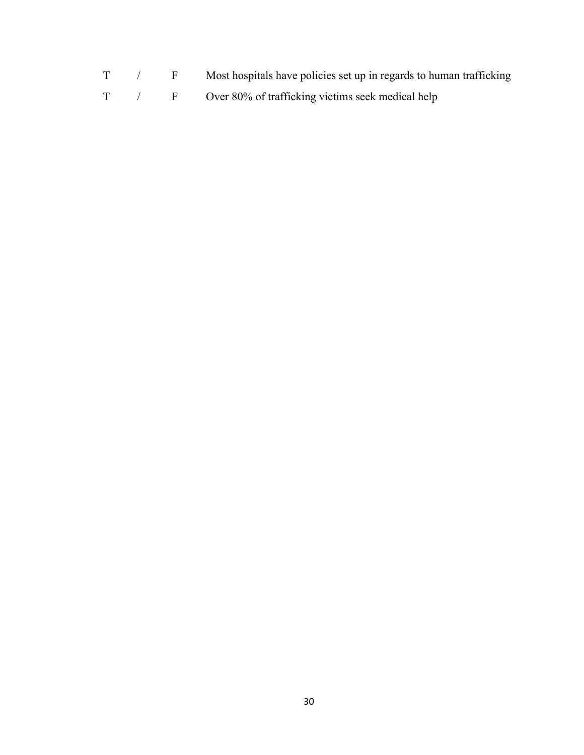- T / F Most hospitals have policies set up in regards to human trafficking
- T / F Over 80% of trafficking victims seek medical help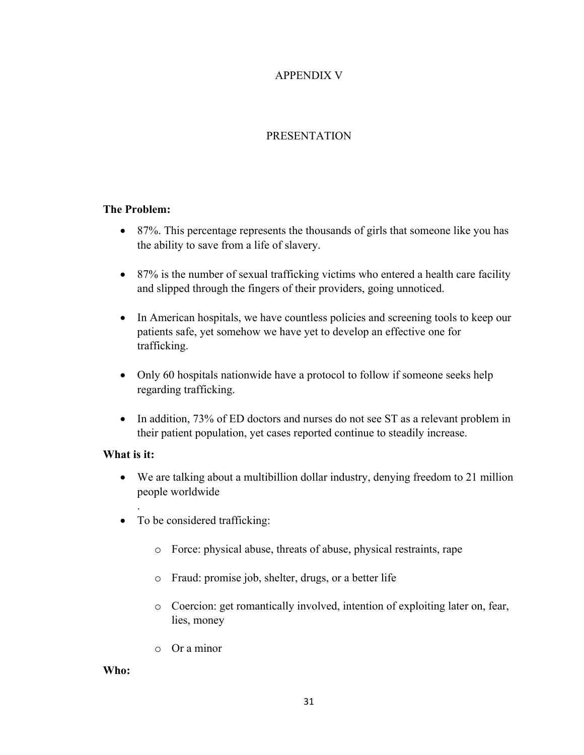# APPENDIX V

# PRESENTATION

### **The Problem:**

- 87%. This percentage represents the thousands of girls that someone like you has the ability to save from a life of slavery.
- 87% is the number of sexual trafficking victims who entered a health care facility and slipped through the fingers of their providers, going unnoticed.
- In American hospitals, we have countless policies and screening tools to keep our patients safe, yet somehow we have yet to develop an effective one for trafficking.
- Only 60 hospitals nationwide have a protocol to follow if someone seeks help regarding trafficking.
- In addition, 73% of ED doctors and nurses do not see ST as a relevant problem in their patient population, yet cases reported continue to steadily increase.

### **What is it:**

.

- We are talking about a multibillion dollar industry, denying freedom to 21 million people worldwide
- To be considered trafficking:
	- o Force: physical abuse, threats of abuse, physical restraints, rape
	- o Fraud: promise job, shelter, drugs, or a better life
	- o Coercion: get romantically involved, intention of exploiting later on, fear, lies, money
	- o Or a minor

**Who:**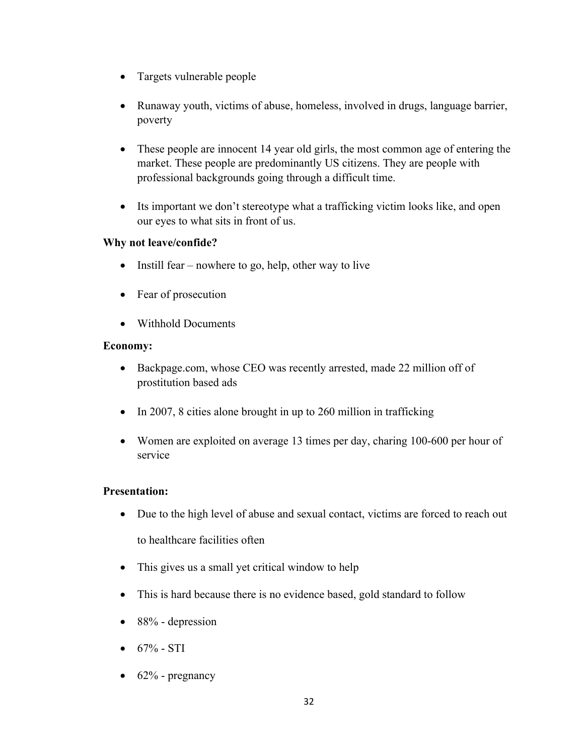- Targets vulnerable people
- Runaway youth, victims of abuse, homeless, involved in drugs, language barrier, poverty
- These people are innocent 14 year old girls, the most common age of entering the market. These people are predominantly US citizens. They are people with professional backgrounds going through a difficult time.
- Its important we don't stereotype what a trafficking victim looks like, and open our eyes to what sits in front of us.

### **Why not leave/confide?**

- Instill fear nowhere to go, help, other way to live
- Fear of prosecution
- Withhold Documents

### **Economy:**

- Backpage.com, whose CEO was recently arrested, made 22 million off of prostitution based ads
- In 2007, 8 cities alone brought in up to 260 million in trafficking
- Women are exploited on average 13 times per day, charing 100-600 per hour of service

### **Presentation:**

- Due to the high level of abuse and sexual contact, victims are forced to reach out to healthcare facilities often
- This gives us a small yet critical window to help
- This is hard because there is no evidence based, gold standard to follow
- 88% depression
- $67\%$  STI
- $\bullet$  62% pregnancy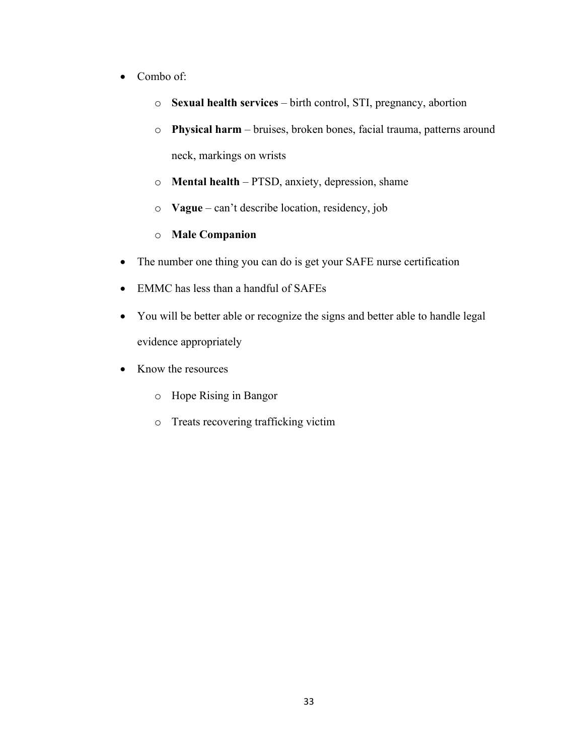- Combo of:
	- o **Sexual health services** birth control, STI, pregnancy, abortion
	- o **Physical harm** bruises, broken bones, facial trauma, patterns around neck, markings on wrists
	- o **Mental health** PTSD, anxiety, depression, shame
	- o **Vague** can't describe location, residency, job
	- o **Male Companion**
- The number one thing you can do is get your SAFE nurse certification
- EMMC has less than a handful of SAFEs
- You will be better able or recognize the signs and better able to handle legal evidence appropriately
- Know the resources
	- o Hope Rising in Bangor
	- o Treats recovering trafficking victim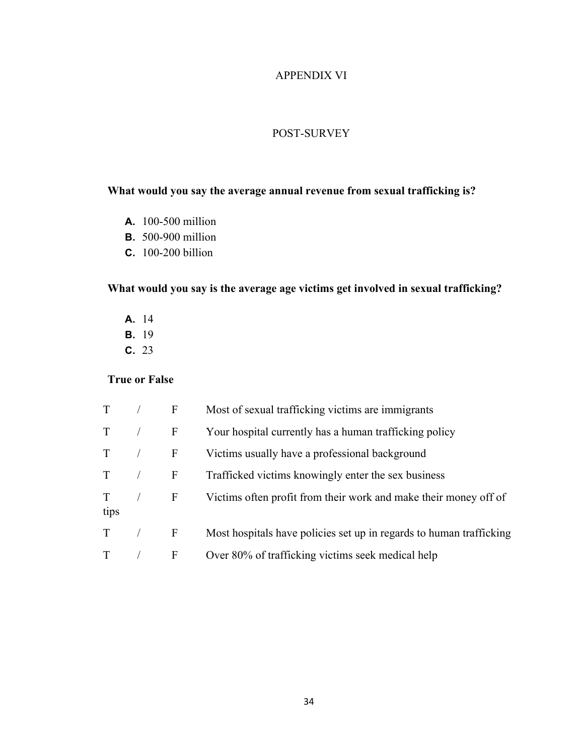### APPENDIX VI

### POST-SURVEY

### **What would you say the average annual revenue from sexual trafficking is?**

- **A.** 100-500 million
- **B.** 500-900 million
- **C.** 100-200 billion

# **What would you say is the average age victims get involved in sexual trafficking?**

- **A.** 14
- **B.** 19
- **C.** 23

# **True or False**

| T            | F            | Most of sexual trafficking victims are immigrants                   |
|--------------|--------------|---------------------------------------------------------------------|
| T            | $\mathbf{F}$ | Your hospital currently has a human trafficking policy              |
| $\mathbf{T}$ | F            | Victims usually have a professional background                      |
| $T \qquad /$ | $\mathbf{F}$ | Trafficked victims knowingly enter the sex business                 |
| T<br>tips    | $\mathbf{F}$ | Victims often profit from their work and make their money off of    |
| T            | F            | Most hospitals have policies set up in regards to human trafficking |
|              | F            | Over 80% of trafficking victims seek medical help                   |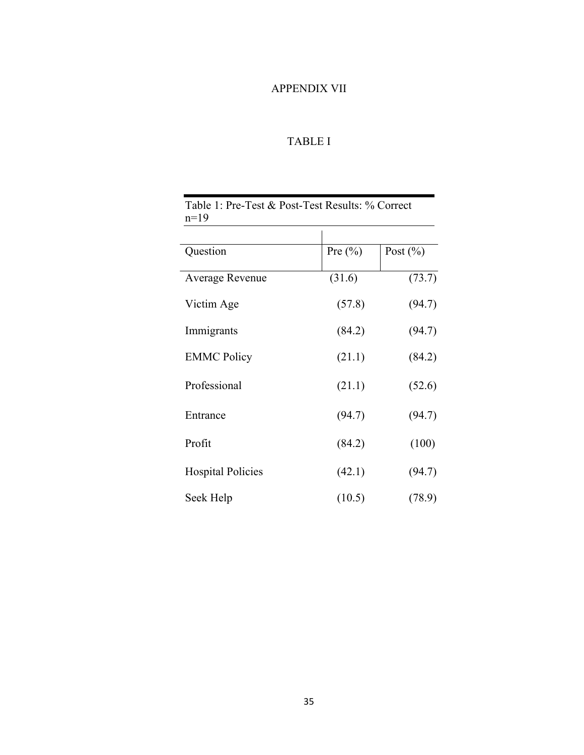# APPENDIX VII

# TABLE I

| Table 1: Pre-Test & Post-Test Results: % Correct<br>$n=19$ |             |              |  |  |
|------------------------------------------------------------|-------------|--------------|--|--|
| Question                                                   | Pre $(\% )$ | Post $(\% )$ |  |  |
| Average Revenue                                            | (31.6)      | (73.7)       |  |  |
| Victim Age                                                 | (57.8)      | (94.7)       |  |  |
| Immigrants                                                 | (84.2)      | (94.7)       |  |  |
| <b>EMMC Policy</b>                                         | (21.1)      | (84.2)       |  |  |
| Professional                                               | (21.1)      | (52.6)       |  |  |
| Entrance                                                   | (94.7)      | (94.7)       |  |  |
| Profit                                                     | (84.2)      | (100)        |  |  |
| <b>Hospital Policies</b>                                   | (42.1)      | (94.7)       |  |  |
| Seek Help                                                  | (10.5)      | (78.9)       |  |  |